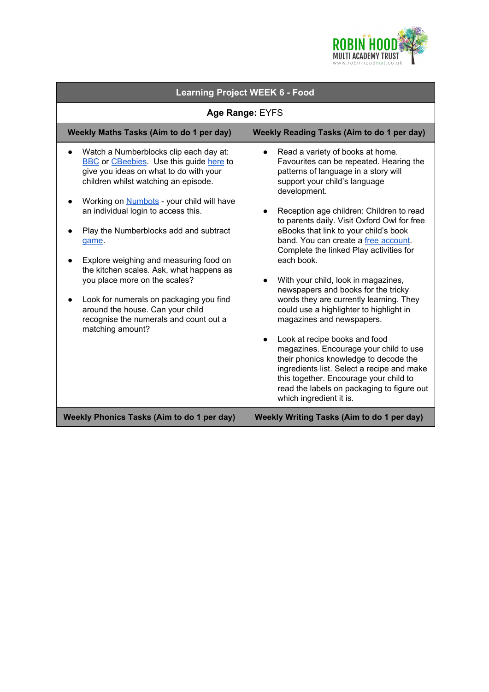

| <b>Learning Project WEEK 6 - Food</b>                                                                                                                                                                                                                                                                                                                                                                                                                                                                                                                                                                     |                                                                                                                                                                                                                                                                                                                                                                                                                                                                                                                                                                                                                                                                                                                                                                                                                                                                                                 |
|-----------------------------------------------------------------------------------------------------------------------------------------------------------------------------------------------------------------------------------------------------------------------------------------------------------------------------------------------------------------------------------------------------------------------------------------------------------------------------------------------------------------------------------------------------------------------------------------------------------|-------------------------------------------------------------------------------------------------------------------------------------------------------------------------------------------------------------------------------------------------------------------------------------------------------------------------------------------------------------------------------------------------------------------------------------------------------------------------------------------------------------------------------------------------------------------------------------------------------------------------------------------------------------------------------------------------------------------------------------------------------------------------------------------------------------------------------------------------------------------------------------------------|
| Age Range: EYFS                                                                                                                                                                                                                                                                                                                                                                                                                                                                                                                                                                                           |                                                                                                                                                                                                                                                                                                                                                                                                                                                                                                                                                                                                                                                                                                                                                                                                                                                                                                 |
| Weekly Maths Tasks (Aim to do 1 per day)                                                                                                                                                                                                                                                                                                                                                                                                                                                                                                                                                                  | Weekly Reading Tasks (Aim to do 1 per day)                                                                                                                                                                                                                                                                                                                                                                                                                                                                                                                                                                                                                                                                                                                                                                                                                                                      |
| Watch a Numberblocks clip each day at:<br>$\bullet$<br><b>BBC</b> or CBeebies. Use this guide here to<br>give you ideas on what to do with your<br>children whilst watching an episode.<br>Working on <b>Numbots</b> - your child will have<br>an individual login to access this.<br>Play the Numberblocks add and subtract<br>game.<br>Explore weighing and measuring food on<br>the kitchen scales. Ask, what happens as<br>you place more on the scales?<br>Look for numerals on packaging you find<br>around the house. Can your child<br>recognise the numerals and count out a<br>matching amount? | Read a variety of books at home.<br>Favourites can be repeated. Hearing the<br>patterns of language in a story will<br>support your child's language<br>development.<br>Reception age children: Children to read<br>to parents daily. Visit Oxford Owl for free<br>eBooks that link to your child's book<br>band. You can create a free account.<br>Complete the linked Play activities for<br>each book.<br>With your child, look in magazines,<br>newspapers and books for the tricky<br>words they are currently learning. They<br>could use a highlighter to highlight in<br>magazines and newspapers.<br>Look at recipe books and food<br>magazines. Encourage your child to use<br>their phonics knowledge to decode the<br>ingredients list. Select a recipe and make<br>this together. Encourage your child to<br>read the labels on packaging to figure out<br>which ingredient it is. |
| <b>Weekly Phonics Tasks (Aim to do 1 per day)</b>                                                                                                                                                                                                                                                                                                                                                                                                                                                                                                                                                         | Weekly Writing Tasks (Aim to do 1 per day)                                                                                                                                                                                                                                                                                                                                                                                                                                                                                                                                                                                                                                                                                                                                                                                                                                                      |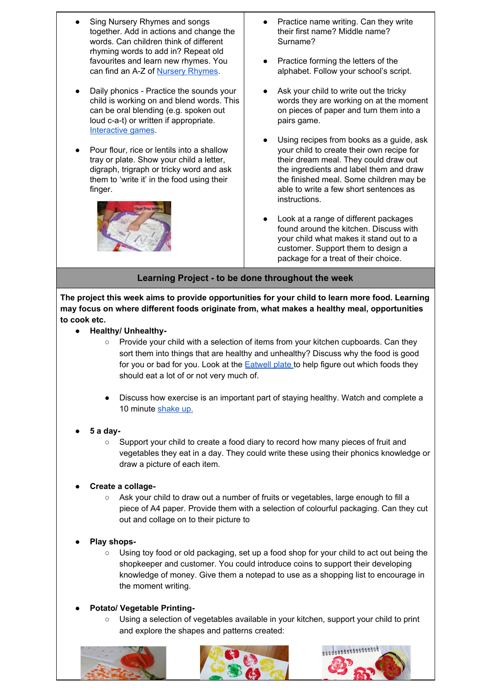- **Sing Nursery Rhymes and songs** together. Add in actions and change the words. Can children think of different rhyming words to add in? Repeat old favourites and learn new rhymes. You can find an A-Z of Nursery [Rhymes.](https://allnurseryrhymes.com/)
- Daily phonics Practice the sounds your child is working on and blend words. This can be oral blending (e.g. spoken out loud c-a-t) or written if appropriate. [Interactive](https://www.phonicsplay.co.uk/) games.
- Pour flour, rice or lentils into a shallow tray or plate. Show your child a letter, digraph, trigraph or tricky word and ask them to 'write it' in the food using their finger.



- Practice name writing. Can they write their first name? Middle name? Surname?
- Practice forming the letters of the alphabet. Follow your school's script.
- Ask your child to write out the tricky words they are working on at the moment on pieces of paper and turn them into a pairs game.
- Using recipes from books as a guide, ask your child to create their own recipe for their dream meal. They could draw out the ingredients and label them and draw the finished meal. Some children may be able to write a few short sentences as **instructions**
- Look at a range of different packages found around the kitchen. Discuss with your child what makes it stand out to a customer. Support them to design a package for a treat of their choice.

## **Learning Project - to be done throughout the week**

**The project this week aims to provide opportunities for your child to learn more food. Learning may focus on where different foods originate from, what makes a healthy meal, opportunities to cook etc.**

- **● Healthy/ Unhealthy-**
	- **○** Provide your child with a selection of items from your kitchen cupboards. Can they sort them into things that are healthy and unhealthy? Discuss why the food is good for you or bad for you. Look at the **[Eatwell](https://www.nhs.uk/live-well/eat-well/the-eatwell-guide/) plate** to help figure out which foods they should eat a lot of or not very much of.
	- Discuss how exercise is an important part of staying healthy. Watch and complete a 10 minute [shake](https://www.nhs.uk/10-minute-shake-up/shake-ups) up.
- **● 5 a day-**
	- Support your child to create a food diary to record how many pieces of fruit and vegetables they eat in a day. They could write these using their phonics knowledge or draw a picture of each item.
- **● Create a collage-**
	- Ask your child to draw out a number of fruits or vegetables, large enough to fill a piece of A4 paper. Provide them with a selection of colourful packaging. Can they cut out and collage on to their picture to
- **● Play shops-**
	- Using toy food or old packaging, set up a food shop for your child to act out being the shopkeeper and customer. You could introduce coins to support their developing knowledge of money. Give them a notepad to use as a shopping list to encourage in the moment writing.
- **● Potato/ Vegetable Printing-**
	- Using a selection of vegetables available in your kitchen, support your child to print and explore the shapes and patterns created: